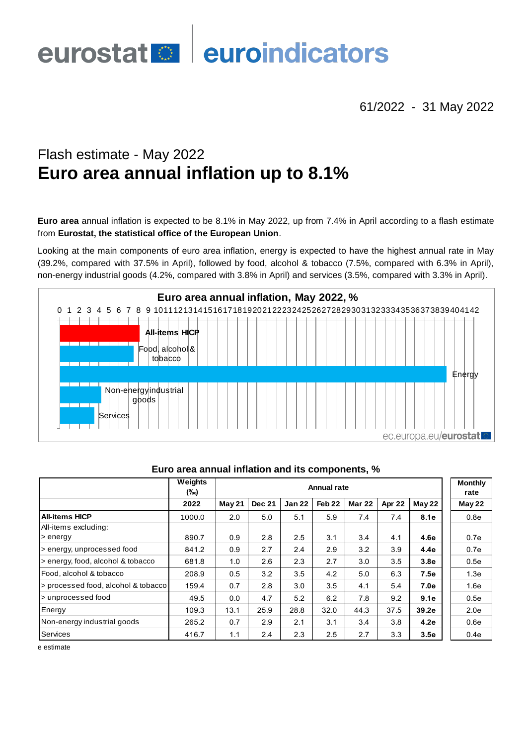# euroindicators eurostat<sup>o</sup>

61/2022 - 31 May 2022

# Flash estimate - May 2022 **Euro area annual inflation up to 8.1%**

**Euro area** annual inflation is expected to be 8.1% in May 2022, up from 7.4% in April according to a flash estimate from **Eurostat, the statistical office of the European Union**.

Looking at the main components of euro area inflation, energy is expected to have the highest annual rate in May (39.2%, compared with 37.5% in April), followed by food, alcohol & tobacco (7.5%, compared with 6.3% in April),



|                                     | Weights<br>(‰) | Annual rate |               |               |                   |               |        |                  | <b>Monthly</b><br>rate |
|-------------------------------------|----------------|-------------|---------------|---------------|-------------------|---------------|--------|------------------|------------------------|
|                                     | 2022           | May 21      | <b>Dec 21</b> | <b>Jan 22</b> | Feb <sub>22</sub> | <b>Mar 22</b> | Apr 22 | <b>May 22</b>    | May 22                 |
| <b>All-items HICP</b>               | 1000.0         | 2.0         | 5.0           | 5.1           | 5.9               | 7.4           | 7.4    | 8.1e             | 0.8e                   |
| All-items excluding:                |                |             |               |               |                   |               |        |                  |                        |
| > energy                            | 890.7          | 0.9         | 2.8           | 2.5           | 3.1               | 3.4           | 4.1    | 4.6e             | 0.7e                   |
| > energy, unprocessed food          | 841.2          | 0.9         | 2.7           | 2.4           | 2.9               | 3.2           | 3.9    | 4.4e             | 0.7e                   |
| s energy, food, alcohol & tobacco   | 681.8          | 1.0         | 2.6           | 2.3           | 2.7               | 3.0           | 3.5    | 3.8 <sub>e</sub> | 0.5e                   |
| l Food, alcohol & tobacco           | 208.9          | 0.5         | 3.2           | 3.5           | 4.2               | 5.0           | 6.3    | 7.5e             | 1.3e                   |
| > processed food, alcohol & tobacco | 159.4          | 0.7         | 2.8           | 3.0           | 3.5               | 4.1           | 5.4    | 7.0e             | 1.6e                   |
| > unprocessed food                  | 49.5           | 0.0         | 4.7           | 5.2           | 6.2               | 7.8           | 9.2    | 9.1e             | 0.5e                   |
| Energy                              | 109.3          | 13.1        | 25.9          | 28.8          | 32.0              | 44.3          | 37.5   | 39.2e            | 2.0 <sub>e</sub>       |
| Non-energy industrial goods         | 265.2          | 0.7         | 2.9           | 2.1           | 3.1               | 3.4           | 3.8    | 4.2e             | 0.6e                   |
| Services                            | 416.7          | 1.1         | 2.4           | 2.3           | 2.5               | 2.7           | 3.3    | 3.5e             | 0.4e                   |

### **Euro area annual inflation and its components, %**

e estimate